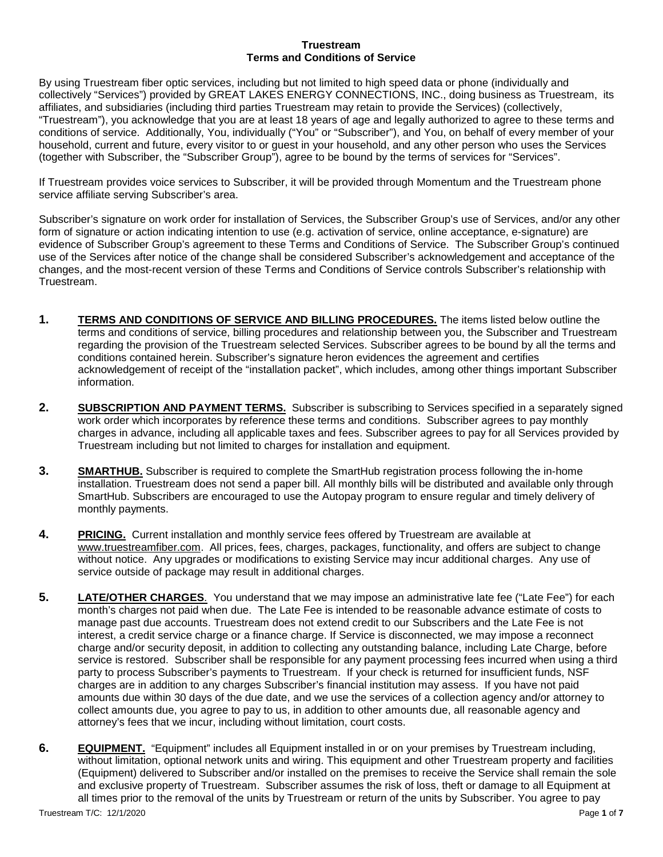## **Truestream Terms and Conditions of Service**

By using Truestream fiber optic services, including but not limited to high speed data or phone (individually and collectively "Services") provided by GREAT LAKES ENERGY CONNECTIONS, INC., doing business as Truestream, its affiliates, and subsidiaries (including third parties Truestream may retain to provide the Services) (collectively, "Truestream"), you acknowledge that you are at least 18 years of age and legally authorized to agree to these terms and conditions of service. Additionally, You, individually ("You" or "Subscriber"), and You, on behalf of every member of your household, current and future, every visitor to or guest in your household, and any other person who uses the Services (together with Subscriber, the "Subscriber Group"), agree to be bound by the terms of services for "Services".

If Truestream provides voice services to Subscriber, it will be provided through Momentum and the Truestream phone service affiliate serving Subscriber's area.

Subscriber's signature on work order for installation of Services, the Subscriber Group's use of Services, and/or any other form of signature or action indicating intention to use (e.g. activation of service, online acceptance, e-signature) are evidence of Subscriber Group's agreement to these Terms and Conditions of Service. The Subscriber Group's continued use of the Services after notice of the change shall be considered Subscriber's acknowledgement and acceptance of the changes, and the most-recent version of these Terms and Conditions of Service controls Subscriber's relationship with Truestream.

- **1. TERMS AND CONDITIONS OF SERVICE AND BILLING PROCEDURES.** The items listed below outline the terms and conditions of service, billing procedures and relationship between you, the Subscriber and Truestream regarding the provision of the Truestream selected Services. Subscriber agrees to be bound by all the terms and conditions contained herein. Subscriber's signature heron evidences the agreement and certifies acknowledgement of receipt of the "installation packet", which includes, among other things important Subscriber information.
- **2. SUBSCRIPTION AND PAYMENT TERMS.** Subscriber is subscribing to Services specified in a separately signed work order which incorporates by reference these terms and conditions. Subscriber agrees to pay monthly charges in advance, including all applicable taxes and fees. Subscriber agrees to pay for all Services provided by Truestream including but not limited to charges for installation and equipment.
- **3. SMARTHUB.** Subscriber is required to complete the SmartHub registration process following the in-home installation. Truestream does not send a paper bill. All monthly bills will be distributed and available only through SmartHub. Subscribers are encouraged to use the Autopay program to ensure regular and timely delivery of monthly payments.
- **4. PRICING.** Current installation and monthly service fees offered by Truestream are available at [www.truestreamfiber.com.](http://www.truestreamfiber.com/) All prices, fees, charges, packages, functionality, and offers are subject to change without notice. Any upgrades or modifications to existing Service may incur additional charges. Any use of service outside of package may result in additional charges.
- **5. LATE/OTHER CHARGES**. You understand that we may impose an administrative late fee ("Late Fee") for each month's charges not paid when due. The Late Fee is intended to be reasonable advance estimate of costs to manage past due accounts. Truestream does not extend credit to our Subscribers and the Late Fee is not interest, a credit service charge or a finance charge. If Service is disconnected, we may impose a reconnect charge and/or security deposit, in addition to collecting any outstanding balance, including Late Charge, before service is restored. Subscriber shall be responsible for any payment processing fees incurred when using a third party to process Subscriber's payments to Truestream. If your check is returned for insufficient funds, NSF charges are in addition to any charges Subscriber's financial institution may assess. If you have not paid amounts due within 30 days of the due date, and we use the services of a collection agency and/or attorney to collect amounts due, you agree to pay to us, in addition to other amounts due, all reasonable agency and attorney's fees that we incur, including without limitation, court costs.
- **6. EQUIPMENT.** "Equipment" includes all Equipment installed in or on your premises by Truestream including, without limitation, optional network units and wiring. This equipment and other Truestream property and facilities (Equipment) delivered to Subscriber and/or installed on the premises to receive the Service shall remain the sole and exclusive property of Truestream. Subscriber assumes the risk of loss, theft or damage to all Equipment at all times prior to the removal of the units by Truestream or return of the units by Subscriber. You agree to pay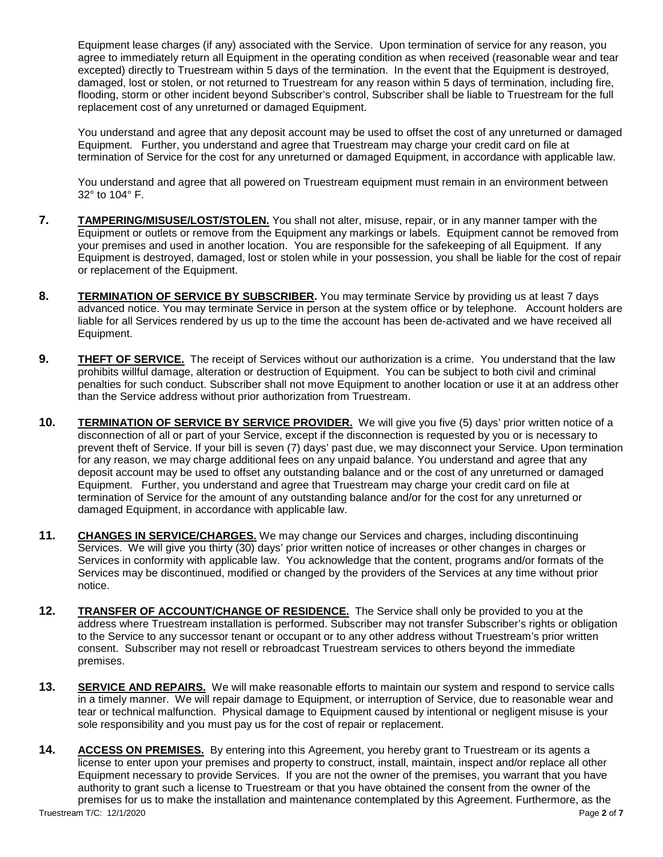Equipment lease charges (if any) associated with the Service. Upon termination of service for any reason, you agree to immediately return all Equipment in the operating condition as when received (reasonable wear and tear excepted) directly to Truestream within 5 days of the termination. In the event that the Equipment is destroyed, damaged, lost or stolen, or not returned to Truestream for any reason within 5 days of termination, including fire, flooding, storm or other incident beyond Subscriber's control, Subscriber shall be liable to Truestream for the full replacement cost of any unreturned or damaged Equipment.

You understand and agree that any deposit account may be used to offset the cost of any unreturned or damaged Equipment. Further, you understand and agree that Truestream may charge your credit card on file at termination of Service for the cost for any unreturned or damaged Equipment, in accordance with applicable law.

You understand and agree that all powered on Truestream equipment must remain in an environment between 32° to 104° F.

- **7. TAMPERING/MISUSE/LOST/STOLEN.** You shall not alter, misuse, repair, or in any manner tamper with the Equipment or outlets or remove from the Equipment any markings or labels. Equipment cannot be removed from your premises and used in another location. You are responsible for the safekeeping of all Equipment. If any Equipment is destroyed, damaged, lost or stolen while in your possession, you shall be liable for the cost of repair or replacement of the Equipment.
- **8. TERMINATION OF SERVICE BY SUBSCRIBER.** You may terminate Service by providing us at least 7 days advanced notice. You may terminate Service in person at the system office or by telephone. Account holders are liable for all Services rendered by us up to the time the account has been de-activated and we have received all Equipment.
- **9. THEFT OF SERVICE.** The receipt of Services without our authorization is a crime. You understand that the law prohibits willful damage, alteration or destruction of Equipment. You can be subject to both civil and criminal penalties for such conduct. Subscriber shall not move Equipment to another location or use it at an address other than the Service address without prior authorization from Truestream.
- **10. TERMINATION OF SERVICE BY SERVICE PROVIDER.** We will give you five (5) days' prior written notice of a disconnection of all or part of your Service, except if the disconnection is requested by you or is necessary to prevent theft of Service. If your bill is seven (7) days' past due, we may disconnect your Service. Upon termination for any reason, we may charge additional fees on any unpaid balance. You understand and agree that any deposit account may be used to offset any outstanding balance and or the cost of any unreturned or damaged Equipment. Further, you understand and agree that Truestream may charge your credit card on file at termination of Service for the amount of any outstanding balance and/or for the cost for any unreturned or damaged Equipment, in accordance with applicable law.
- **11. CHANGES IN SERVICE/CHARGES.** We may change our Services and charges, including discontinuing Services. We will give you thirty (30) days' prior written notice of increases or other changes in charges or Services in conformity with applicable law. You acknowledge that the content, programs and/or formats of the Services may be discontinued, modified or changed by the providers of the Services at any time without prior notice.
- **12. TRANSFER OF ACCOUNT/CHANGE OF RESIDENCE.** The Service shall only be provided to you at the address where Truestream installation is performed. Subscriber may not transfer Subscriber's rights or obligation to the Service to any successor tenant or occupant or to any other address without Truestream's prior written consent. Subscriber may not resell or rebroadcast Truestream services to others beyond the immediate premises.
- **13. SERVICE AND REPAIRS.** We will make reasonable efforts to maintain our system and respond to service calls in a timely manner. We will repair damage to Equipment, or interruption of Service, due to reasonable wear and tear or technical malfunction. Physical damage to Equipment caused by intentional or negligent misuse is your sole responsibility and you must pay us for the cost of repair or replacement.
- Truestream T/C: 12/1/2020 Page **2** of **7 14. ACCESS ON PREMISES.** By entering into this Agreement, you hereby grant to Truestream or its agents a license to enter upon your premises and property to construct, install, maintain, inspect and/or replace all other Equipment necessary to provide Services. If you are not the owner of the premises, you warrant that you have authority to grant such a license to Truestream or that you have obtained the consent from the owner of the premises for us to make the installation and maintenance contemplated by this Agreement. Furthermore, as the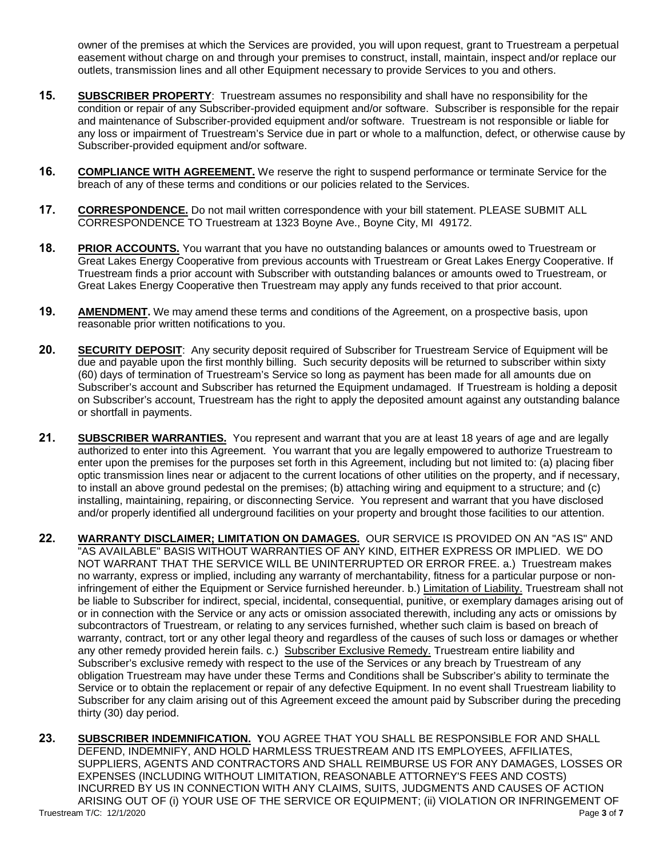owner of the premises at which the Services are provided, you will upon request, grant to Truestream a perpetual easement without charge on and through your premises to construct, install, maintain, inspect and/or replace our outlets, transmission lines and all other Equipment necessary to provide Services to you and others.

- **15. SUBSCRIBER PROPERTY**: Truestream assumes no responsibility and shall have no responsibility for the condition or repair of any Subscriber-provided equipment and/or software. Subscriber is responsible for the repair and maintenance of Subscriber-provided equipment and/or software. Truestream is not responsible or liable for any loss or impairment of Truestream's Service due in part or whole to a malfunction, defect, or otherwise cause by Subscriber-provided equipment and/or software.
- **16. COMPLIANCE WITH AGREEMENT.** We reserve the right to suspend performance or terminate Service for the breach of any of these terms and conditions or our policies related to the Services.
- **17. CORRESPONDENCE.** Do not mail written correspondence with your bill statement. PLEASE SUBMIT ALL CORRESPONDENCE TO Truestream at 1323 Boyne Ave., Boyne City, MI 49172.
- **18. PRIOR ACCOUNTS.** You warrant that you have no outstanding balances or amounts owed to Truestream or Great Lakes Energy Cooperative from previous accounts with Truestream or Great Lakes Energy Cooperative. If Truestream finds a prior account with Subscriber with outstanding balances or amounts owed to Truestream, or Great Lakes Energy Cooperative then Truestream may apply any funds received to that prior account.
- **19. AMENDMENT.** We may amend these terms and conditions of the Agreement, on a prospective basis, upon reasonable prior written notifications to you.
- **20. SECURITY DEPOSIT**: Any security deposit required of Subscriber for Truestream Service of Equipment will be due and payable upon the first monthly billing. Such security deposits will be returned to subscriber within sixty (60) days of termination of Truestream's Service so long as payment has been made for all amounts due on Subscriber's account and Subscriber has returned the Equipment undamaged. If Truestream is holding a deposit on Subscriber's account, Truestream has the right to apply the deposited amount against any outstanding balance or shortfall in payments.
- **21. SUBSCRIBER WARRANTIES.** You represent and warrant that you are at least 18 years of age and are legally authorized to enter into this Agreement. You warrant that you are legally empowered to authorize Truestream to enter upon the premises for the purposes set forth in this Agreement, including but not limited to: (a) placing fiber optic transmission lines near or adjacent to the current locations of other utilities on the property, and if necessary, to install an above ground pedestal on the premises; (b) attaching wiring and equipment to a structure; and (c) installing, maintaining, repairing, or disconnecting Service. You represent and warrant that you have disclosed and/or properly identified all underground facilities on your property and brought those facilities to our attention.
- **22. WARRANTY DISCLAIMER; LIMITATION ON DAMAGES.** OUR SERVICE IS PROVIDED ON AN "AS IS" AND "AS AVAILABLE" BASIS WITHOUT WARRANTIES OF ANY KIND, EITHER EXPRESS OR IMPLIED. WE DO NOT WARRANT THAT THE SERVICE WILL BE UNINTERRUPTED OR ERROR FREE. a.) Truestream makes no warranty, express or implied, including any warranty of merchantability, fitness for a particular purpose or noninfringement of either the Equipment or Service furnished hereunder. b.) Limitation of Liability. Truestream shall not be liable to Subscriber for indirect, special, incidental, consequential, punitive, or exemplary damages arising out of or in connection with the Service or any acts or omission associated therewith, including any acts or omissions by subcontractors of Truestream, or relating to any services furnished, whether such claim is based on breach of warranty, contract, tort or any other legal theory and regardless of the causes of such loss or damages or whether any other remedy provided herein fails. c.) Subscriber Exclusive Remedy. Truestream entire liability and Subscriber's exclusive remedy with respect to the use of the Services or any breach by Truestream of any obligation Truestream may have under these Terms and Conditions shall be Subscriber's ability to terminate the Service or to obtain the replacement or repair of any defective Equipment. In no event shall Truestream liability to Subscriber for any claim arising out of this Agreement exceed the amount paid by Subscriber during the preceding thirty (30) day period.
- Truestream T/C: 12/1/2020 Page **3** of **7 23. SUBSCRIBER INDEMNIFICATION. Y**OU AGREE THAT YOU SHALL BE RESPONSIBLE FOR AND SHALL DEFEND, INDEMNIFY, AND HOLD HARMLESS TRUESTREAM AND ITS EMPLOYEES, AFFILIATES, SUPPLIERS, AGENTS AND CONTRACTORS AND SHALL REIMBURSE US FOR ANY DAMAGES, LOSSES OR EXPENSES (INCLUDING WITHOUT LIMITATION, REASONABLE ATTORNEY'S FEES AND COSTS) INCURRED BY US IN CONNECTION WITH ANY CLAIMS, SUITS, JUDGMENTS AND CAUSES OF ACTION ARISING OUT OF (i) YOUR USE OF THE SERVICE OR EQUIPMENT; (ii) VIOLATION OR INFRINGEMENT OF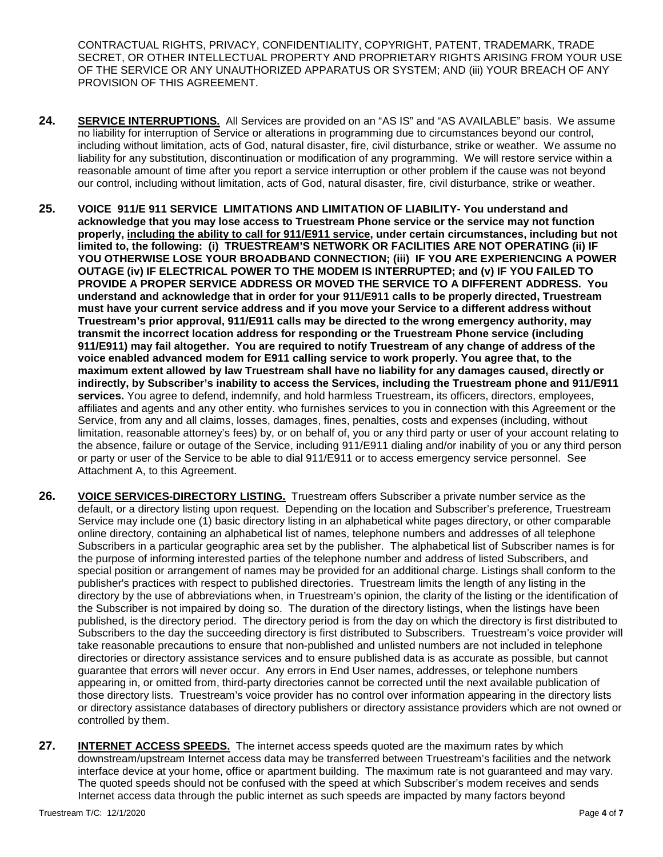CONTRACTUAL RIGHTS, PRIVACY, CONFIDENTIALITY, COPYRIGHT, PATENT, TRADEMARK, TRADE SECRET, OR OTHER INTELLECTUAL PROPERTY AND PROPRIETARY RIGHTS ARISING FROM YOUR USE OF THE SERVICE OR ANY UNAUTHORIZED APPARATUS OR SYSTEM; AND (iii) YOUR BREACH OF ANY PROVISION OF THIS AGREEMENT.

- 24. **SERVICE INTERRUPTIONS.** All Services are provided on an "AS IS" and "AS AVAILABLE" basis. We assume no liability for interruption of Service or alterations in programming due to circumstances beyond our control, including without limitation, acts of God, natural disaster, fire, civil disturbance, strike or weather. We assume no liability for any substitution, discontinuation or modification of any programming. We will restore service within a reasonable amount of time after you report a service interruption or other problem if the cause was not beyond our control, including without limitation, acts of God, natural disaster, fire, civil disturbance, strike or weather.
- **25. VOICE 911/E 911 SERVICE LIMITATIONS AND LIMITATION OF LIABILITY- You understand and acknowledge that you may lose access to Truestream Phone service or the service may not function properly, including the ability to call for 911/E911 service, under certain circumstances, including but not limited to, the following: (i) TRUESTREAM'S NETWORK OR FACILITIES ARE NOT OPERATING (ii) IF YOU OTHERWISE LOSE YOUR BROADBAND CONNECTION; (iii) IF YOU ARE EXPERIENCING A POWER OUTAGE (iv) IF ELECTRICAL POWER TO THE MODEM IS INTERRUPTED; and (v) IF YOU FAILED TO PROVIDE A PROPER SERVICE ADDRESS OR MOVED THE SERVICE TO A DIFFERENT ADDRESS. You understand and acknowledge that in order for your 911/E911 calls to be properly directed, Truestream must have your current service address and if you move your Service to a different address without Truestream's prior approval, 911/E911 calls may be directed to the wrong emergency authority, may transmit the incorrect location address for responding or the Truestream Phone service (including 911/E911) may fail altogether. You are required to notify Truestream of any change of address of the voice enabled advanced modem for E911 calling service to work properly. You agree that, to the maximum extent allowed by law Truestream shall have no liability for any damages caused, directly or indirectly, by Subscriber's inability to access the Services, including the Truestream phone and 911/E911 services.** You agree to defend, indemnify, and hold harmless Truestream, its officers, directors, employees, affiliates and agents and any other entity. who furnishes services to you in connection with this Agreement or the Service, from any and all claims, losses, damages, fines, penalties, costs and expenses (including, without limitation, reasonable attorney's fees) by, or on behalf of, you or any third party or user of your account relating to the absence, failure or outage of the Service, including 911/E911 dialing and/or inability of you or any third person or party or user of the Service to be able to dial 911/E911 or to access emergency service personnel. See Attachment A, to this Agreement.
- **26. VOICE SERVICES-DIRECTORY LISTING.** Truestream offers Subscriber a private number service as the default, or a directory listing upon request. Depending on the location and Subscriber's preference, Truestream Service may include one (1) basic directory listing in an alphabetical white pages directory, or other comparable online directory, containing an alphabetical list of names, telephone numbers and addresses of all telephone Subscribers in a particular geographic area set by the publisher. The alphabetical list of Subscriber names is for the purpose of informing interested parties of the telephone number and address of listed Subscribers, and special position or arrangement of names may be provided for an additional charge. Listings shall conform to the publisher's practices with respect to published directories. Truestream limits the length of any listing in the directory by the use of abbreviations when, in Truestream's opinion, the clarity of the listing or the identification of the Subscriber is not impaired by doing so. The duration of the directory listings, when the listings have been published, is the directory period. The directory period is from the day on which the directory is first distributed to Subscribers to the day the succeeding directory is first distributed to Subscribers. Truestream's voice provider will take reasonable precautions to ensure that non-published and unlisted numbers are not included in telephone directories or directory assistance services and to ensure published data is as accurate as possible, but cannot guarantee that errors will never occur. Any errors in End User names, addresses, or telephone numbers appearing in, or omitted from, third-party directories cannot be corrected until the next available publication of those directory lists. Truestream's voice provider has no control over information appearing in the directory lists or directory assistance databases of directory publishers or directory assistance providers which are not owned or controlled by them.
- **27. INTERNET ACCESS SPEEDS.** The internet access speeds quoted are the maximum rates by which downstream/upstream Internet access data may be transferred between Truestream's facilities and the network interface device at your home, office or apartment building. The maximum rate is not guaranteed and may vary. The quoted speeds should not be confused with the speed at which Subscriber's modem receives and sends Internet access data through the public internet as such speeds are impacted by many factors beyond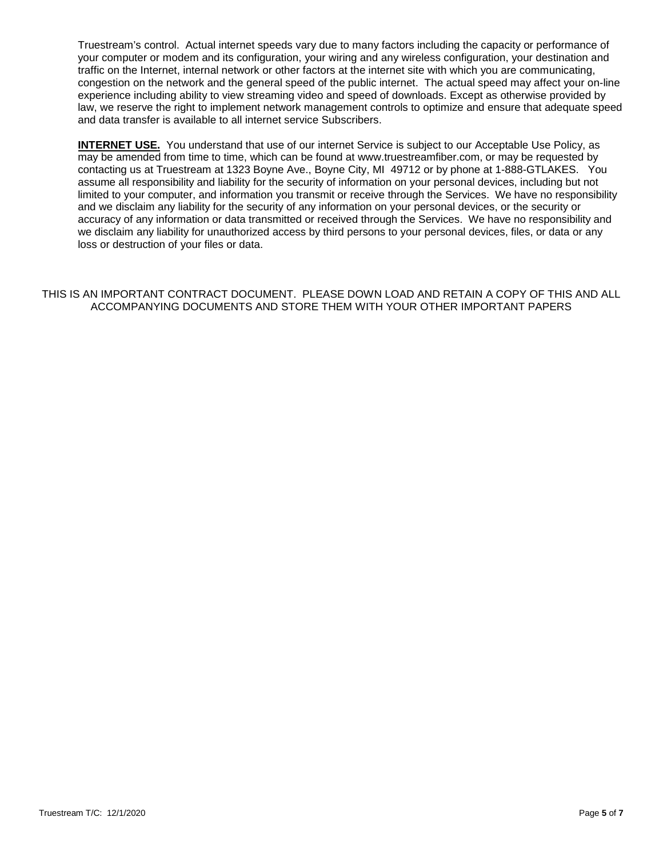Truestream's control. Actual internet speeds vary due to many factors including the capacity or performance of your computer or modem and its configuration, your wiring and any wireless configuration, your destination and traffic on the Internet, internal network or other factors at the internet site with which you are communicating, congestion on the network and the general speed of the public internet. The actual speed may affect your on-line experience including ability to view streaming video and speed of downloads. Except as otherwise provided by law, we reserve the right to implement network management controls to optimize and ensure that adequate speed and data transfer is available to all internet service Subscribers.

**INTERNET USE.** You understand that use of our internet Service is subject to our Acceptable Use Policy, as may be amended from time to time, which can be found at www.truestreamfiber.com, or may be requested by contacting us at Truestream at 1323 Boyne Ave., Boyne City, MI 49712 or by phone at 1-888-GTLAKES. You assume all responsibility and liability for the security of information on your personal devices, including but not limited to your computer, and information you transmit or receive through the Services. We have no responsibility and we disclaim any liability for the security of any information on your personal devices, or the security or accuracy of any information or data transmitted or received through the Services. We have no responsibility and we disclaim any liability for unauthorized access by third persons to your personal devices, files, or data or any loss or destruction of your files or data.

## THIS IS AN IMPORTANT CONTRACT DOCUMENT. PLEASE DOWN LOAD AND RETAIN A COPY OF THIS AND ALL ACCOMPANYING DOCUMENTS AND STORE THEM WITH YOUR OTHER IMPORTANT PAPERS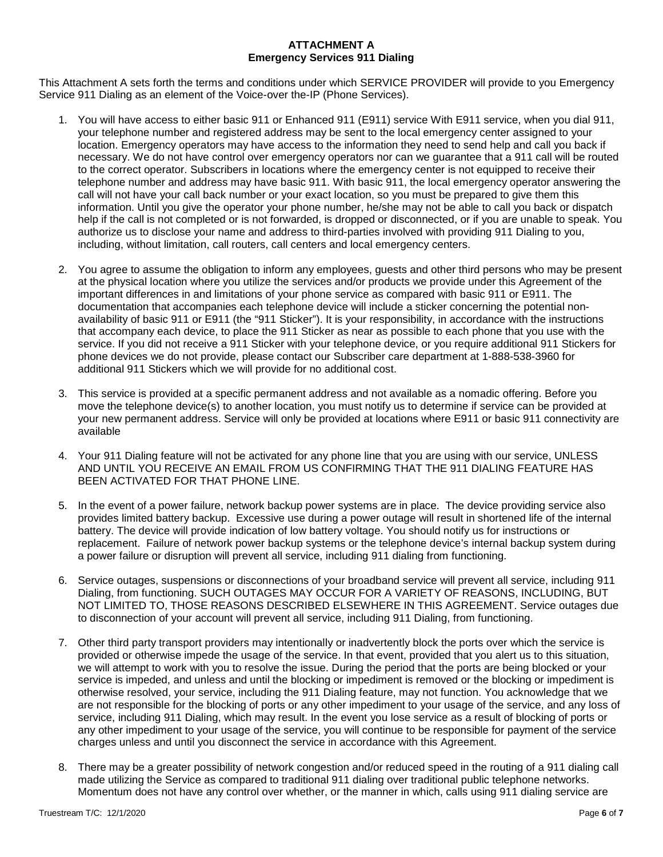## **ATTACHMENT A Emergency Services 911 Dialing**

This Attachment A sets forth the terms and conditions under which SERVICE PROVIDER will provide to you Emergency Service 911 Dialing as an element of the Voice-over the-IP (Phone Services).

- 1. You will have access to either basic 911 or Enhanced 911 (E911) service With E911 service, when you dial 911, your telephone number and registered address may be sent to the local emergency center assigned to your location. Emergency operators may have access to the information they need to send help and call you back if necessary. We do not have control over emergency operators nor can we guarantee that a 911 call will be routed to the correct operator. Subscribers in locations where the emergency center is not equipped to receive their telephone number and address may have basic 911. With basic 911, the local emergency operator answering the call will not have your call back number or your exact location, so you must be prepared to give them this information. Until you give the operator your phone number, he/she may not be able to call you back or dispatch help if the call is not completed or is not forwarded, is dropped or disconnected, or if you are unable to speak. You authorize us to disclose your name and address to third-parties involved with providing 911 Dialing to you, including, without limitation, call routers, call centers and local emergency centers.
- 2. You agree to assume the obligation to inform any employees, guests and other third persons who may be present at the physical location where you utilize the services and/or products we provide under this Agreement of the important differences in and limitations of your phone service as compared with basic 911 or E911. The documentation that accompanies each telephone device will include a sticker concerning the potential nonavailability of basic 911 or E911 (the "911 Sticker"). It is your responsibility, in accordance with the instructions that accompany each device, to place the 911 Sticker as near as possible to each phone that you use with the service. If you did not receive a 911 Sticker with your telephone device, or you require additional 911 Stickers for phone devices we do not provide, please contact our Subscriber care department at 1-888-538-3960 for additional 911 Stickers which we will provide for no additional cost.
- 3. This service is provided at a specific permanent address and not available as a nomadic offering. Before you move the telephone device(s) to another location, you must notify us to determine if service can be provided at your new permanent address. Service will only be provided at locations where E911 or basic 911 connectivity are available
- 4. Your 911 Dialing feature will not be activated for any phone line that you are using with our service, UNLESS AND UNTIL YOU RECEIVE AN EMAIL FROM US CONFIRMING THAT THE 911 DIALING FEATURE HAS BEEN ACTIVATED FOR THAT PHONE LINE.
- 5. In the event of a power failure, network backup power systems are in place. The device providing service also provides limited battery backup. Excessive use during a power outage will result in shortened life of the internal battery. The device will provide indication of low battery voltage. You should notify us for instructions or replacement. Failure of network power backup systems or the telephone device's internal backup system during a power failure or disruption will prevent all service, including 911 dialing from functioning.
- 6. Service outages, suspensions or disconnections of your broadband service will prevent all service, including 911 Dialing, from functioning. SUCH OUTAGES MAY OCCUR FOR A VARIETY OF REASONS, INCLUDING, BUT NOT LIMITED TO, THOSE REASONS DESCRIBED ELSEWHERE IN THIS AGREEMENT. Service outages due to disconnection of your account will prevent all service, including 911 Dialing, from functioning.
- 7. Other third party transport providers may intentionally or inadvertently block the ports over which the service is provided or otherwise impede the usage of the service. In that event, provided that you alert us to this situation, we will attempt to work with you to resolve the issue. During the period that the ports are being blocked or your service is impeded, and unless and until the blocking or impediment is removed or the blocking or impediment is otherwise resolved, your service, including the 911 Dialing feature, may not function. You acknowledge that we are not responsible for the blocking of ports or any other impediment to your usage of the service, and any loss of service, including 911 Dialing, which may result. In the event you lose service as a result of blocking of ports or any other impediment to your usage of the service, you will continue to be responsible for payment of the service charges unless and until you disconnect the service in accordance with this Agreement.
- 8. There may be a greater possibility of network congestion and/or reduced speed in the routing of a 911 dialing call made utilizing the Service as compared to traditional 911 dialing over traditional public telephone networks. Momentum does not have any control over whether, or the manner in which, calls using 911 dialing service are